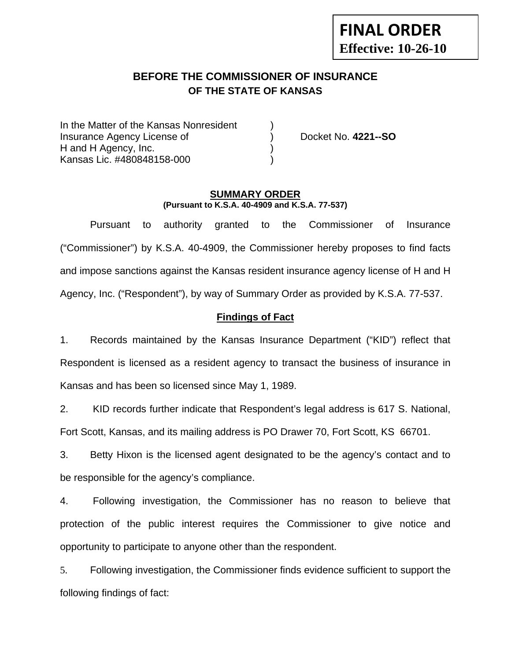# **FINAL ORDER Effective: 10-26-10**

# **BEFORE THE COMMISSIONER OF INSURANCE OF THE STATE OF KANSAS**

In the Matter of the Kansas Nonresident Insurance Agency License of ) Docket No. **4221--SO** H and H Agency, Inc. (1) Kansas Lic. #480848158-000 )

#### **SUMMARY ORDER (Pursuant to K.S.A. 40-4909 and K.S.A. 77-537)**

 Pursuant to authority granted to the Commissioner of Insurance ("Commissioner") by K.S.A. 40-4909, the Commissioner hereby proposes to find facts and impose sanctions against the Kansas resident insurance agency license of H and H Agency, Inc. ("Respondent"), by way of Summary Order as provided by K.S.A. 77-537.

### **Findings of Fact**

1. Records maintained by the Kansas Insurance Department ("KID") reflect that Respondent is licensed as a resident agency to transact the business of insurance in Kansas and has been so licensed since May 1, 1989.

2. KID records further indicate that Respondent's legal address is 617 S. National, Fort Scott, Kansas, and its mailing address is PO Drawer 70, Fort Scott, KS 66701.

3. Betty Hixon is the licensed agent designated to be the agency's contact and to be responsible for the agency's compliance.

4. Following investigation, the Commissioner has no reason to believe that protection of the public interest requires the Commissioner to give notice and opportunity to participate to anyone other than the respondent.

5. Following investigation, the Commissioner finds evidence sufficient to support the following findings of fact: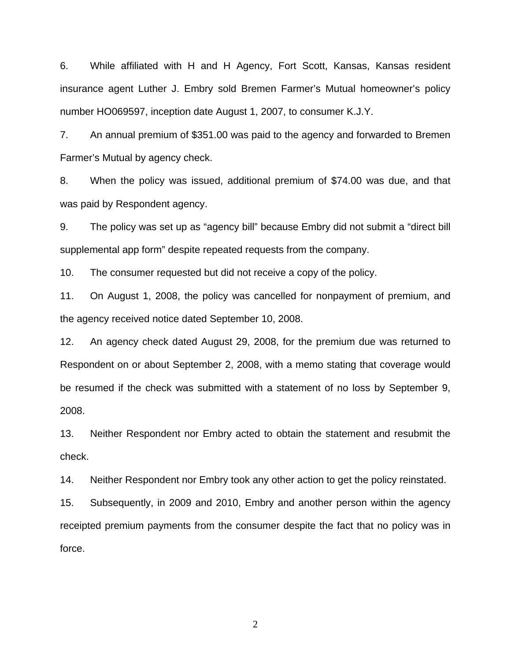6. While affiliated with H and H Agency, Fort Scott, Kansas, Kansas resident insurance agent Luther J. Embry sold Bremen Farmer's Mutual homeowner's policy number HO069597, inception date August 1, 2007, to consumer K.J.Y.

7. An annual premium of \$351.00 was paid to the agency and forwarded to Bremen Farmer's Mutual by agency check.

8. When the policy was issued, additional premium of \$74.00 was due, and that was paid by Respondent agency.

9. The policy was set up as "agency bill" because Embry did not submit a "direct bill supplemental app form" despite repeated requests from the company.

10. The consumer requested but did not receive a copy of the policy.

11. On August 1, 2008, the policy was cancelled for nonpayment of premium, and the agency received notice dated September 10, 2008.

12. An agency check dated August 29, 2008, for the premium due was returned to Respondent on or about September 2, 2008, with a memo stating that coverage would be resumed if the check was submitted with a statement of no loss by September 9, 2008.

13. Neither Respondent nor Embry acted to obtain the statement and resubmit the check.

14. Neither Respondent nor Embry took any other action to get the policy reinstated.

15. Subsequently, in 2009 and 2010, Embry and another person within the agency receipted premium payments from the consumer despite the fact that no policy was in force.

2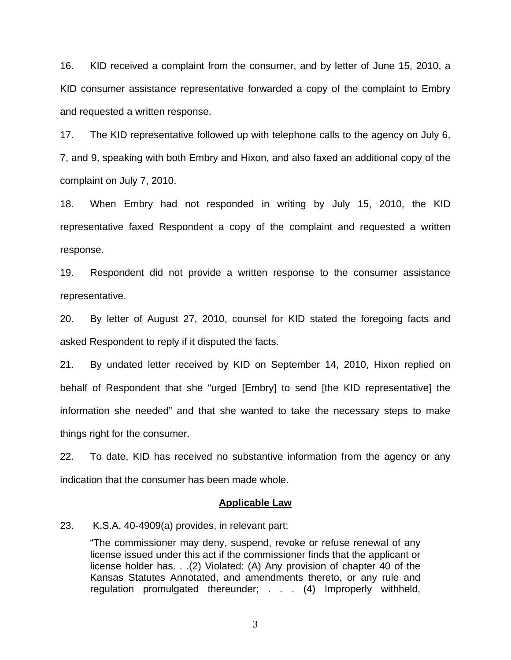16. KID received a complaint from the consumer, and by letter of June 15, 2010, a KID consumer assistance representative forwarded a copy of the complaint to Embry and requested a written response.

17. The KID representative followed up with telephone calls to the agency on July 6, 7, and 9, speaking with both Embry and Hixon, and also faxed an additional copy of the complaint on July 7, 2010.

18. When Embry had not responded in writing by July 15, 2010, the KID representative faxed Respondent a copy of the complaint and requested a written response.

19. Respondent did not provide a written response to the consumer assistance representative.

20. By letter of August 27, 2010, counsel for KID stated the foregoing facts and asked Respondent to reply if it disputed the facts.

21. By undated letter received by KID on September 14, 2010, Hixon replied on behalf of Respondent that she "urged [Embry] to send [the KID representative] the information she needed" and that she wanted to take the necessary steps to make things right for the consumer.

22. To date, KID has received no substantive information from the agency or any indication that the consumer has been made whole.

#### **Applicable Law**

23. K.S.A. 40-4909(a) provides, in relevant part:

"The commissioner may deny, suspend, revoke or refuse renewal of any license issued under this act if the commissioner finds that the applicant or license holder has. . .(2) Violated: (A) Any provision of chapter 40 of the Kansas Statutes Annotated, and amendments thereto, or any rule and regulation promulgated thereunder; . . . (4) Improperly withheld,

3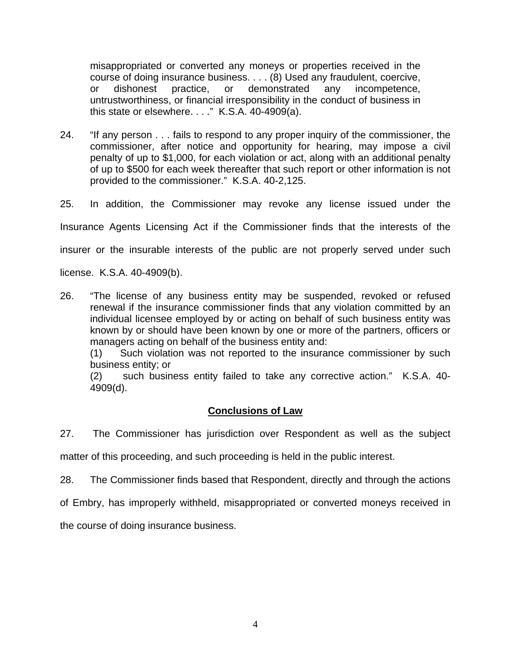misappropriated or converted any moneys or properties received in the course of doing insurance business. . . . (8) Used any fraudulent, coercive, or dishonest practice, or demonstrated any incompetence, untrustworthiness, or financial irresponsibility in the conduct of business in this state or elsewhere. . . ." K.S.A. 40-4909(a).

24. "If any person . . . fails to respond to any proper inquiry of the commissioner, the commissioner, after notice and opportunity for hearing, may impose a civil penalty of up to \$1,000, for each violation or act, along with an additional penalty of up to \$500 for each week thereafter that such report or other information is not provided to the commissioner." K.S.A. 40-2,125.

25. In addition, the Commissioner may revoke any license issued under the

Insurance Agents Licensing Act if the Commissioner finds that the interests of the

insurer or the insurable interests of the public are not properly served under such

license. K.S.A. 40-4909(b).

26. "The license of any business entity may be suspended, revoked or refused renewal if the insurance commissioner finds that any violation committed by an individual licensee employed by or acting on behalf of such business entity was known by or should have been known by one or more of the partners, officers or managers acting on behalf of the business entity and:

(1) Such violation was not reported to the insurance commissioner by such business entity; or

(2) such business entity failed to take any corrective action." K.S.A. 40- 4909(d).

### **Conclusions of Law**

27. The Commissioner has jurisdiction over Respondent as well as the subject

matter of this proceeding, and such proceeding is held in the public interest.

28. The Commissioner finds based that Respondent, directly and through the actions

of Embry, has improperly withheld, misappropriated or converted moneys received in

the course of doing insurance business.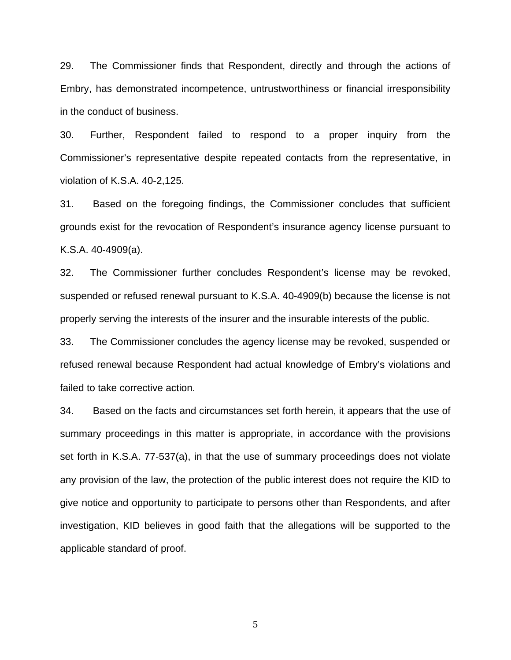29. The Commissioner finds that Respondent, directly and through the actions of Embry, has demonstrated incompetence, untrustworthiness or financial irresponsibility in the conduct of business.

30. Further, Respondent failed to respond to a proper inquiry from the Commissioner's representative despite repeated contacts from the representative, in violation of K.S.A. 40-2,125.

31. Based on the foregoing findings, the Commissioner concludes that sufficient grounds exist for the revocation of Respondent's insurance agency license pursuant to K.S.A. 40-4909(a).

32. The Commissioner further concludes Respondent's license may be revoked, suspended or refused renewal pursuant to K.S.A. 40-4909(b) because the license is not properly serving the interests of the insurer and the insurable interests of the public.

33. The Commissioner concludes the agency license may be revoked, suspended or refused renewal because Respondent had actual knowledge of Embry's violations and failed to take corrective action.

34. Based on the facts and circumstances set forth herein, it appears that the use of summary proceedings in this matter is appropriate, in accordance with the provisions set forth in K.S.A. 77-537(a), in that the use of summary proceedings does not violate any provision of the law, the protection of the public interest does not require the KID to give notice and opportunity to participate to persons other than Respondents, and after investigation, KID believes in good faith that the allegations will be supported to the applicable standard of proof.

5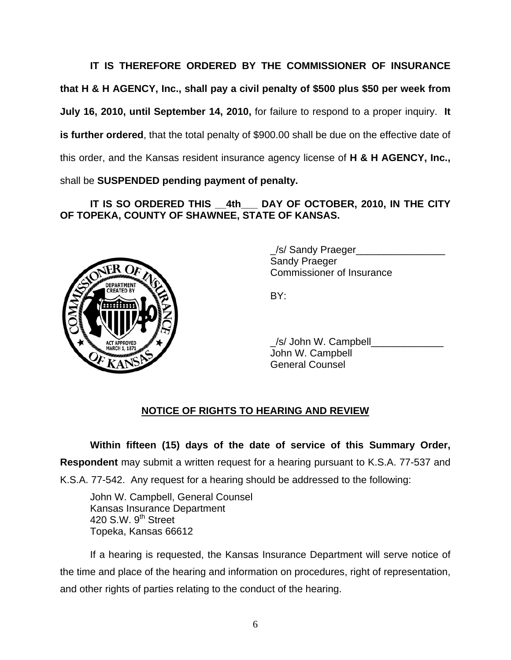**IT IS THEREFORE ORDERED BY THE COMMISSIONER OF INSURANCE that H & H AGENCY, Inc., shall pay a civil penalty of \$500 plus \$50 per week from July 16, 2010, until September 14, 2010,** for failure to respond to a proper inquiry. **It is further ordered**, that the total penalty of \$900.00 shall be due on the effective date of this order, and the Kansas resident insurance agency license of **H & H AGENCY, Inc.,** shall be **SUSPENDED pending payment of penalty.** 

# **IT IS SO ORDERED THIS \_\_4th\_\_\_ DAY OF OCTOBER, 2010, IN THE CITY OF TOPEKA, COUNTY OF SHAWNEE, STATE OF KANSAS.**



 \_/s/ Sandy Praeger\_\_\_\_\_\_\_\_\_\_\_\_\_\_\_\_ Sandy Praeger Commissioner of Insurance

/s/ John W. Campbell John W. Campbell General Counsel

## **NOTICE OF RIGHTS TO HEARING AND REVIEW**

**Within fifteen (15) days of the date of service of this Summary Order, Respondent** may submit a written request for a hearing pursuant to K.S.A. 77-537 and K.S.A. 77-542. Any request for a hearing should be addressed to the following:

 John W. Campbell, General Counsel Kansas Insurance Department 420 S.W. 9<sup>th</sup> Street Topeka, Kansas 66612

If a hearing is requested, the Kansas Insurance Department will serve notice of the time and place of the hearing and information on procedures, right of representation, and other rights of parties relating to the conduct of the hearing.